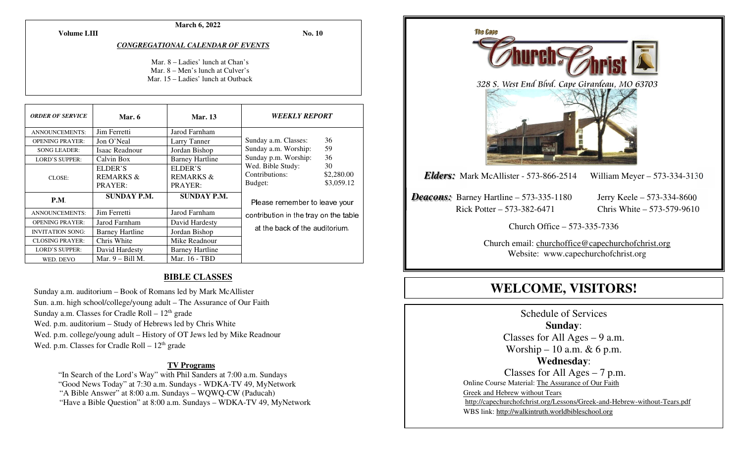**March 6, 2022** 

**Volume LIII**

**No. 10** 

#### *CONGREGATIONAL CALENDAR OF EVENTS*

Mar. 8 – Ladies' lunch at Chan's Mar. 8 – Men's lunch at Culver's Mar. 15 – Ladies' lunch at Outback

| <b>ORDER OF SERVICE</b> | Mar. 6                                     | <b>Mar.</b> 13                             | <i><b>WEEKLY REPORT</b></i>                    |                                |
|-------------------------|--------------------------------------------|--------------------------------------------|------------------------------------------------|--------------------------------|
| <b>ANNOUNCEMENTS:</b>   | Jim Ferretti                               | Jarod Farnham                              |                                                |                                |
| <b>OPENING PRAYER:</b>  | Jon O'Neal                                 | Larry Tanner                               | Sunday a.m. Classes:                           | 36                             |
| <b>SONG LEADER:</b>     | Isaac Readnour                             | Jordan Bishop                              | Sunday a.m. Worship:                           | 59                             |
| <b>LORD'S SUPPER:</b>   | Calvin Box                                 | <b>Barney Hartline</b>                     | Sunday p.m. Worship:                           | 36                             |
| CLOSE:                  | ELDER'S<br><b>REMARKS &amp;</b><br>PRAYER: | ELDER'S<br><b>REMARKS &amp;</b><br>PRAYER: | Wed. Bible Study:<br>Contributions:<br>Budget: | 30<br>\$2,280.00<br>\$3,059.12 |
| P.M.                    | <b>SUNDAY P.M.</b>                         | <b>SUNDAY P.M.</b>                         | Please remember to leave your                  |                                |
| ANNOUNCEMENTS:          | Jim Ferretti                               | Jarod Farnham                              | contribution in the tray on the table          |                                |
| <b>OPENING PRAYER:</b>  | Jarod Farnham                              | David Hardesty                             |                                                |                                |
| <b>INVITATION SONG:</b> | <b>Barney Hartline</b>                     | Jordan Bishop                              | at the back of the auditorium.                 |                                |
| <b>CLOSING PRAYER:</b>  | Chris White                                | Mike Readnour                              |                                                |                                |
| <b>LORD'S SUPPER:</b>   | David Hardesty                             | <b>Barney Hartline</b>                     |                                                |                                |
| WED. DEVO               | Mar. $9 -$ Bill M.                         | Mar. 16 - TBD                              |                                                |                                |

#### **BIBLE CLASSES**

Sunday a.m. auditorium – Book of Romans led by Mark McAllister Sun. a.m. high school/college/young adult – The Assurance of Our Faith Sunday a.m. Classes for Cradle Roll –  $12<sup>th</sup>$  grade Wed. p.m. auditorium – Study of Hebrews led by Chris White Wed. p.m. college/young adult – History of OT Jews led by Mike Readnour Wed. p.m. Classes for Cradle Roll  $-12<sup>th</sup>$  grade

#### **TV Programs**

"In Search of the Lord's Way" with Phil Sanders at 7:00 a.m. Sundays

"Good News Today" at 7:30 a.m. Sundays - WDKA-TV 49, MyNetwork

"A Bible Answer" at 8:00 a.m. Sundays – WQWQ-CW (Paducah)

"Have a Bible Question" at 8:00 a.m. Sundays – WDKA-TV 49, MyNetwork



# **WELCOME, VISITORS!**

Schedule of Services **Sunday**: Classes for All Ages – 9 a.m. Worship – 10 a.m.  $& 6$  p.m. **Wednesday**: Classes for All Ages – 7 p.m. Online Course Material: The Assurance of Our Faith Greek and Hebrew without Tears http://capechurchofchrist.org/Lessons/Greek-and-Hebrew-without-Tears.pdfWBS link: http://walkintruth.worldbibleschool.org